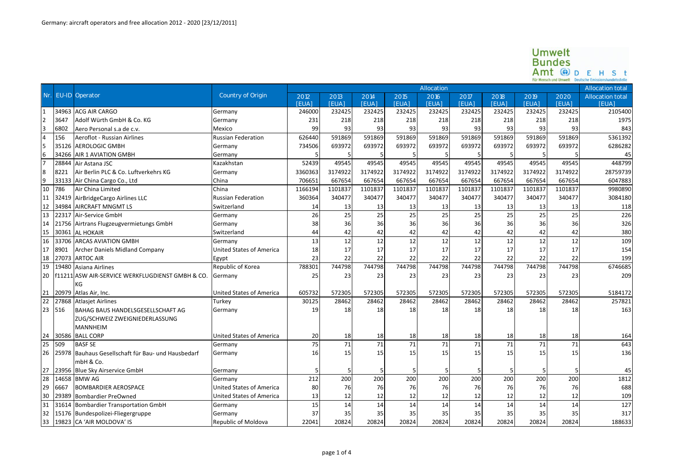## $\begin{array}{ll} \textbf{U} \textbf{m} \textbf{w} \textbf{e} \textbf{t} \\ \textbf{B} \textbf{u} \textbf{n} \textbf{d} \textbf{e} \textbf{s} \\ \textbf{A} \textbf{m} \textbf{t} \textbf{w} \textbf{d} \textbf{b} \textbf{m} \textbf{b} \textbf{e} \\ \textbf{Fir Mensch und Umwelt} & \textbf{Deutsche Emissionshandedelstelle} \end{array}$

|                       |       |                                                    |                                 | Allocation  |              |              |              |              |             |              |              |             | Allocation total |
|-----------------------|-------|----------------------------------------------------|---------------------------------|-------------|--------------|--------------|--------------|--------------|-------------|--------------|--------------|-------------|------------------|
| Nr.                   |       | <b>EU-ID</b> Operator                              | Country of Origin               | 2012        | 2013         | 2014         | 2015         | 2016         | 2017        | 2018         | 2019         | 2020        | Allocation total |
|                       |       |                                                    |                                 | <b>FUA1</b> | <b>IFUA1</b> | <b>IEUAI</b> | <b>[FUA]</b> | <b>IFUAL</b> | <b>FUA1</b> | <b>IFUAL</b> | <b>IFUAL</b> | <b>FUA1</b> | <b>IFUA</b>      |
| $\mathbf{1}$          | 34963 | <b>ACG AIR CARGO</b>                               | Germany                         | 246000      | 232425       | 232425       | 232425       | 232425       | 232425      | 232425       | 232425       | 232425      | 2105400          |
|                       | 3647  | Adolf Würth GmbH & Co. KG                          | Germany                         | 231         | 218          | 218          | 218          | 218          | 218         | 218          | 218          | 218         | 1975             |
| 3                     | 6802  | Aero Personal s.a de c.v.                          | Mexico                          | 99          | 93           | 93           | 93           | 93           | 93          | 93           | 93           | 93          | 843              |
| $\overline{4}$<br>156 |       | Aeroflot - Russian Airlines                        | <b>Russian Federation</b>       | 626440      | 591869       | 591869       | 591869       | 591869       | 591869      | 591869       | 591869       | 591869      | 5361392          |
| 5                     | 35126 | <b>AEROLOGIC GMBH</b>                              | Germany                         | 734506      | 693972       | 693972       | 693972       | 693972       | 693972      | 693972       | 693972       | 693972      | 6286282          |
| 6                     | 34266 | <b>AIR 1 AVIATION GMBH</b>                         | Germany                         |             |              |              |              | 5            |             | 5            |              |             | 45               |
| 17                    | 28844 | Air Astana JSC                                     | Kazakhstan                      | 52439       | 49545        | 49545        | 49545        | 49545        | 49545       | 49545        | 49545        | 49545       | 448799           |
| 8                     | 8221  | Air Berlin PLC & Co. Luftverkehrs KG               | Germany                         | 3360363     | 3174922      | 3174922      | 3174922      | 3174922      | 3174922     | 3174922      | 3174922      | 3174922     | 28759739         |
| 9                     |       | 33133 Air China Cargo Co., Ltd                     | China                           | 706651      | 667654       | 667654       | 667654       | 667654       | 667654      | 667654       | 667654       | 667654      | 6047883          |
| 786<br>10             |       | Air China Limited                                  | China                           | 1166194     | 1101837      | 1101837      | 1101837      | 1101837      | 1101837     | 1101837      | 1101837      | 1101837     | 9980890          |
| 11                    | 32419 | AirBridgeCargo Airlines LLC                        | <b>Russian Federation</b>       | 360364      | 340477       | 340477       | 340477       | 340477       | 340477      | 340477       | 340477       | 340477      | 3084180          |
| 12                    | 34984 | <b>AIRCRAFT MNGMT LS</b>                           | Switzerland                     | 14          | 13           | 13           | 13           | 13           | 13          | 13           | 13           | 13          | 118              |
| 13                    | 22317 | Air-Service GmbH                                   | Germany                         | 26          | 25           | 25           | 25           | 25           | 25          | 25           | 25           | 25          | 226              |
| 14                    |       | 21756 Airtrans Flugzeugvermietungs GmbH            | Germany                         | 38          | 36           | 36           | 36           | 36           | 36          | 36           | 36           | 36          | 326              |
| 15                    | 30361 | <b>AL HOKAIR</b>                                   | Switzerland                     | 44          | 42           | 42           | 42           | 42           | 42          | 42           | 42           | 42          | 380              |
| 16                    | 33706 | <b>ARCAS AVIATION GMBH</b>                         | Germany                         | 13          | 12           | 12           | 12           | 12           | 12          | 12           | 12           | 12          | 109              |
| 17                    | 8901  | Archer Daniels Midland Company                     | <b>United States of America</b> | 18          | 17           | 17           | 17           | 17           | 17          | 17           | 17           | 17          | 154              |
| 18                    | 27073 | <b>ARTOC AIR</b>                                   | Egypt                           | 23          | 22           | 22           | 22           | 22           | 22          | 22           | 22           | 22          | 199              |
| 19                    | 19480 | Asiana Airlines                                    | Republic of Korea               | 788301      | 744798       | 744798       | 744798       | 744798       | 744798      | 744798       | 744798       | 744798      | 6746685          |
| 20                    |       | f11211 ASW AIR-SERVICE WERKFLUGDIENST GMBH & CO.   | Germany                         | 25          | 23           | 23           | 23           | 23           | 23          | 23           | 23           | 23          | 209              |
|                       |       | KG                                                 |                                 |             |              |              |              |              |             |              |              |             |                  |
| 21                    |       | 20979 Atlas Air, Inc.                              | <b>United States of America</b> | 605732      | 572305       | 572305       | 572305       | 572305       | 572305      | 572305       | 572305       | 572305      | 5184172          |
| 22                    | 27868 | <b>Atlasiet Airlines</b>                           | Turkey                          | 30125       | 28462        | 28462        | 28462        | 28462        | 28462       | 28462        | 28462        | 28462       | 257821           |
| 23<br>516             |       | BAHAG BAUS HANDELSGESELLSCHAFT AG                  | Germany                         | 19          | 18           | 18           | 18           | 18           | 18          | 18           | 18           | 18          | 163              |
|                       |       | ZUG/SCHWEIZ ZWEIGNIEDERLASSUNG                     |                                 |             |              |              |              |              |             |              |              |             |                  |
|                       |       | <b>MANNHEIM</b>                                    |                                 |             |              |              |              |              |             |              |              |             |                  |
| 24                    |       | 30586 BALL CORP                                    | <b>United States of America</b> | 20          | 18           | 18           | 18           | 18           | 18          | 18           | 18           | 18          | 164              |
| 25<br>509             |       | <b>BASF SE</b>                                     | Germany                         | 75          | 71           | 71           | 71           | 71           | 71          | 71           | 71           | 71          | 643              |
| 26                    |       | 25978 Bauhaus Gesellschaft für Bau- und Hausbedarf | Germany                         | 16          | 15           | 15           | 15           | 15           | 15          | 15           | 15           | 15          | 136              |
|                       |       | mbH & Co.                                          |                                 |             |              |              |              |              |             |              |              |             |                  |
| 27                    |       | 23956 Blue Sky Airservice GmbH                     | Germany                         |             |              | 5            | 5            | 5            |             | 5            |              |             | 45               |
| 28                    | 14658 | <b>BMW AG</b>                                      | Germany                         | 212         | 200          | 200          | 200          | 200          | 200         | 200          | 200          | 200         | 1812             |
| 29                    | 6667  | <b>BOMBARDIER AEROSPACE</b>                        | <b>United States of America</b> | 80          | 76           | 76           | 76           | 76           | 76          | 76           | 76           | 76          | 688              |
| 30                    | 29389 | <b>Bombardier PreOwned</b>                         | <b>United States of America</b> | 13          | 12           | 12           | 12           | 12           | 12          | 12           | 12           | 12          | 109              |
| 31                    |       | 31614 Bombardier Transportation GmbH               | Germany                         | 15          | 14           | 14           | 14           | 14           | 14          | 14           | 14           | 14          | 127              |
| 32                    |       | 15176 Bundespolizei-Fliegergruppe                  | Germany                         | 37          | 35           | 35           | 35           | 35           | 35          | 35           | 35           | 35          | 317              |
| 33                    |       | 19823 CA 'AIR MOLDOVA' IS                          | Republic of Moldova             | 22041       | 20824        | 20824        | 20824        | 20824        | 20824       | 20824        | 20824        | 20824       | 188633           |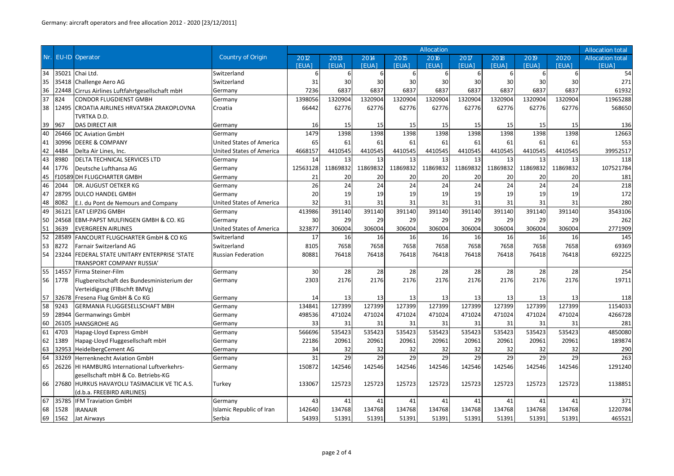|     |        |                                               |                                 | Allocation   |              |              |              |                 |              |              |          |                  |                  |
|-----|--------|-----------------------------------------------|---------------------------------|--------------|--------------|--------------|--------------|-----------------|--------------|--------------|----------|------------------|------------------|
| Nr. | EU-ID  | Operator                                      | Country of Origin               | 2012         | 2013         | 2014         | 2015         | 2016            | 2017         | 2018         | 2019     | 2020             | Allocation total |
|     |        |                                               |                                 | <b>IFUAL</b> | <b>IFUA1</b> | <b>IFUAL</b> | <b>IFUA1</b> | <b>FUA1</b>     | <b>[EUA]</b> | <b>IFUAL</b> | [FUA]    | <b>[EUA]</b>     | <b>IFUA</b>      |
| 34  | 35021  | Chai Ltd.                                     | Switzerland                     | 6            | 6            | 6            | 6            | 6               | 6            | 6            | 6        | $6 \overline{6}$ | 54               |
| 35  | 35418  | Challenge Aero AG                             | Switzerland                     | 31           | 30           | 30           | 30           | 30              | 30           | 30           | 30       | 30               | 271              |
| 36  | 22448  | Cirrus Airlines Luftfahrtgesellschaft mbH     | Germany                         | 7236         | 6837         | 6837         | 6837         | 6837            | 6837         | 6837         | 6837     | 6837             | 61932            |
| 37  | 824    | <b>CONDOR FLUGDIENST GMBH</b>                 | Germany                         | 1398056      | 1320904      | 1320904      | 1320904      | 1320904         | 1320904      | 1320904      | 1320904  | 1320904          | 11965288         |
| 38  | 12495  | CROATIA AIRLINES HRVATSKA ZRAKOPLOVNA         | Croatia                         | 66442        | 62776        | 62776        | 62776        | 62776           | 62776        | 62776        | 62776    | 62776            | 568650           |
|     |        | TVRTKA D.D.                                   |                                 |              |              |              |              |                 |              |              |          |                  |                  |
| 39  | 967    | <b>DAS DIRECT AIR</b>                         | Germany                         | 16           | 15           | 15           | 15           | 15              | 15           | 15           | 15       | 15               | 136              |
| 40  | 26466  | <b>DC Aviation GmbH</b>                       | Germany                         | 1479         | 1398         | 1398         | 1398         | 1398            | 1398         | 1398         | 1398     | 1398             | 12663            |
| 41  | 30996  | <b>DEERE &amp; COMPANY</b>                    | <b>United States of America</b> | 65           | 61           | 61           | 61           | 61              | 61           | 61           | 61       | 61               | 553              |
| 42  | 4484   | Delta Air Lines, Inc.                         | <b>United States of America</b> | 4668157      | 4410545      | 4410545      | 4410545      | 4410545         | 4410545      | 4410545      | 4410545  | 4410545          | 39952517         |
| 43  | 8980   | <b>DELTA TECHNICAL SERVICES LTD</b>           | Germany                         | 14           | 13           | 13           | 13           | 13              | 13           | 13           | 13       | 13               | 118              |
| 44  | 1776   | Deutsche Lufthansa AG                         | Germany                         | 12563128     | 11869832     | 11869832     | 11869832     | 11869832        | 11869832     | 11869832     | 11869832 | 11869832         | 107521784        |
| 45  | f10589 | DH FLUGCHARTER GMBH                           | Germany                         | 21           | 20           | 20           | 20           | 20              | 20           | 20           | 20       | 20               | 181              |
| 46  | 2044   | DR. AUGUST OETKER KG                          | Germany                         | 26           | 24           | 24           | 24           | 24              | 24           | 24           | 24       | 24               | 218              |
| 47  | 28795  | <b>DULCO HANDEL GMBH</b>                      | Germany                         | 20           | 19           | 19           | 19           | 19              | 19           | 19           | 19       | 19               | 172              |
| 48  | 8082   | E.I. du Pont de Nemours and Company           | <b>United States of America</b> | 32           | 31           | 31           | 31           | 31              | 31           | 31           | 31       | 31               | 280              |
| 49  | 36121  | <b>EAT LEIPZIG GMBH</b>                       | Germany                         | 413986       | 391140       | 391140       | 391140       | 391140          | 391140       | 391140       | 391140   | 391140           | 3543106          |
| 50  | 24568  | EBM-PAPST MULFINGEN GMBH & CO. KG             | Germany                         | 30           | 29           | 29           | 29           | 29              | 29           | 29           | 29       | 29               | 262              |
| 51  | 3639   | <b>EVERGREEN AIRLINES</b>                     | United States of America        | 323877       | 306004       | 306004       | 306004       | 306004          | 306004       | 306004       | 306004   | 306004           | 2771909          |
| 52  | 28589  | <b>FANCOURT FLUGCHARTER GmbH &amp; CO KG</b>  | Switzerland                     | 17           | 16           | 16           | 16           | 16              | 16           | 16           | 16       | 16               | 145              |
| 53  | 8272   | <b>Farnair Switzerland AG</b>                 | Switzerland                     | 8105         | 7658         | 7658         | 7658         | 7658            | 7658         | 7658         | 7658     | 7658             | 69369            |
| 54  | 23244  | FEDERAL STATE UNITARY ENTERPRISE 'STATE       | Russian Federation              | 80881        | 76418        | 76418        | 76418        | 76418           | 76418        | 76418        | 76418    | 76418            | 692225           |
|     |        | TRANSPORT COMPANY RUSSIA'                     |                                 |              |              |              |              |                 |              |              |          |                  |                  |
| 55  | 14557  | Firma Steiner-Film                            | Germany                         | 30           | 28           | 28           | 28           | 28              | 28           | 28           | 28       | 28               | 254              |
| 56  | 1778   | Flugbereitschaft des Bundesministerium der    | Germany                         | 2303         | 2176         | 2176         | 2176         | 2176            | 2176         | 2176         | 2176     | 2176             | 19711            |
|     |        | Verteidigung (FIBschft BMVg)                  |                                 |              |              |              |              |                 |              |              |          |                  |                  |
| 57  | 32678  | Fresena Flug GmbH & Co KG                     | Germany                         | 14           | 13           | 13           | 13           | 13              | 13           | 13           | 13       | 13               | 118              |
| 58  | 9243   | <b>GERMANIA FLUGGESELLSCHAFT MBH</b>          | Germany                         | 134841       | 127399       | 127399       | 127399       | 127399          | 127399       | 127399       | 127399   | 127399           | 1154033          |
| 59  | 28944  | <b>Germanwings GmbH</b>                       | Germany                         | 498536       | 471024       | 471024       | 471024       | 471024          | 471024       | 471024       | 471024   | 471024           | 4266728          |
| 60  | 26105  | <b>HANSGROHE AG</b>                           | Germany                         | 33           | 31           | 31           | 31           | 31              | 31           | 31           | 31       | 31               | 281              |
| 61  | 4703   | Hapag-Lloyd Express GmbH                      | Germany                         | 566696       | 535423       | 535423       | 535423       | 535423          | 535423       | 535423       | 535423   | 535423           | 4850080          |
| 62  | 1389   | Hapag-Lloyd Fluggesellschaft mbH              | Germany                         | 22186        | 20961        | 20961        | 20961        | 20961           | 20961        | 20961        | 20961    | 20961            | 189874           |
| 63  | 32953  | HeidelbergCement AG                           | Germany                         | 34           | 32           | 32           | 32           | 32              | 32           | 32           | 32       | 32               | 290              |
| 64  | 33269  | Herrenknecht Aviation GmbH                    | Germany                         | 31           | 29           | 29           | 29           | $\overline{29}$ | 29           | 29           | 29       | 29               | 263              |
| 65  | 26226  | <b>HI HAMBURG International Luftverkehrs-</b> | Germany                         | 150872       | 142546       | 142546       | 142546       | 142546          | 142546       | 142546       | 142546   | 142546           | 1291240          |
|     |        | gesellschaft mbH & Co. Betriebs-KG            |                                 |              |              |              |              |                 |              |              |          |                  |                  |
| 66  | 27680  | HURKUS HAVAYOLU TASIMACILIK VE TIC A.S.       | Turkey                          | 133067       | 125723       | 125723       | 125723       | 125723          | 125723       | 125723       | 125723   | 125723           | 1138851          |
|     |        | (d.b.a. FREEBIRD AIRLINES)                    |                                 |              |              |              |              |                 |              |              |          |                  |                  |
| 67  | 35785  | <b>IFM Traviation GmbH</b>                    | Germany                         | 43           | 41           | 41           | 41           | 41              | 41           | 41           | 41       | 41               | 371              |
| 68  | 1528   | <b>IRANAIR</b>                                | Islamic Republic of Iran        | 142640       | 134768       | 134768       | 134768       | 134768          | 134768       | 134768       | 134768   | 134768           | 1220784          |
| 69  | 1562   | Jat Airways                                   | Serbia                          | 54393        | 51391        | 51391        | 51391        | 51391           | 51391        | 51391        | 51391    | 51391            | 465521           |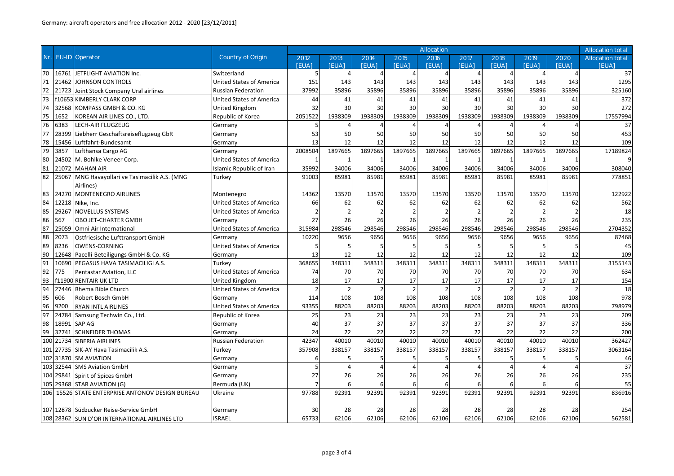|     |           |                                               |                                 | Allocation<br><b>Allocation total</b> |         |                |                |                |                |                |         |                |                  |
|-----|-----------|-----------------------------------------------|---------------------------------|---------------------------------------|---------|----------------|----------------|----------------|----------------|----------------|---------|----------------|------------------|
| Nr. | EU-ID     | Operator                                      | Country of Origin               | 2012                                  | 2013    | 2014           | 2015           | 2016           | 2017           | 2018           | 2019    | 2020           | Allocation total |
|     |           |                                               |                                 | <b>IEUAI</b>                          | [FUA]   | <b>IFUAL</b>   | <b>IEUA1</b>   | <b>FUA1</b>    | <b>[EUA]</b>   | <b>IEUAI</b>   | [FUA]   | <b>[EUA]</b>   | <b>IFUA</b>      |
| 70  |           | 16761 JETFLIGHT AVIATION Inc.                 | Switzerland                     | 5                                     |         |                |                |                | $\overline{a}$ |                |         | $\Delta$       | 37               |
| 71  | 21462     | <b>JOHNSON CONTROLS</b>                       | <b>United States of America</b> | 151                                   | 143     | 143            | 143            | 143            | 143            | 143            | 143     | 143            | 1295             |
| 72  | 21723     | Joint Stock Company Ural airlines             | <b>Russian Federation</b>       | 37992                                 | 35896   | 35896          | 35896          | 35896          | 35896          | 35896          | 35896   | 35896          | 325160           |
| 73  |           | <b>f10653 KIMBERLY CLARK CORP</b>             | <b>United States of America</b> | 44                                    | 41      | 41             | 41             | 41             | 41             | 41             | 41      | 41             | 372              |
| 74  | 32568     | KOMPASS GMBH & CO. KG                         | <b>United Kingdom</b>           | 32                                    | 30      | 30             | 30             | 30             | 30             | 30             | 30      | 30             | 272              |
| 75  | 1652      | KOREAN AIR LINES CO., LTD.                    | Republic of Korea               | 2051522                               | 1938309 | 1938309        | 1938309        | 1938309        | 1938309        | 1938309        | 1938309 | 1938309        | 17557994         |
| 76  | 6383      | LECH-AIR FLUGZEUG                             | Germany                         | 5                                     |         |                |                |                | Δ              |                |         | Δ              | 37               |
| 77  | 28399     | Liebherr Geschäftsreiseflugzeug GbR           | Germany                         | 53                                    | 50      | 50             | 50             | 50             | 50             | 50             | 50      | 50             | 453              |
| 78  | 15456     | Luftfahrt-Bundesamt                           | Germany                         | 13                                    | 12      | 12             | 12             | 12             | 12             | 12             | 12      | 12             | 109              |
| 79  | 3857      | Lufthansa Cargo AG                            | Germany                         | 2008504                               | 1897665 | 1897665        | 1897665        | 1897665        | 1897665        | 1897665        | 1897665 | 1897665        | 17189824         |
| 80  | 24502     | M. Bohlke Veneer Corp.                        | <b>United States of America</b> |                                       |         |                |                |                |                | -1             |         |                |                  |
| 81  | 21072     | <b>MAHAN AIR</b>                              | Islamic Republic of Iran        | 35992                                 | 34006   | 34006          | 34006          | 34006          | 34006          | 34006          | 34006   | 34006          | 308040           |
| 82  | 25067     | MNG Havayollari ve Tasimacilik A.S. (MNG      | Turkey                          | 91003                                 | 85981   | 85981          | 85981          | 85981          | 85981          | 85981          | 85981   | 85981          | 778851           |
|     |           | Airlines)                                     |                                 |                                       |         |                |                |                |                |                |         |                |                  |
| 83  | 24270     | <b>MONTENEGRO AIRLINES</b>                    | Montenegro                      | 14362                                 | 13570   | 13570          | 13570          | 13570          | 13570          | 13570          | 13570   | 13570          | 122922           |
| 84  | 12218     | Nike, Inc.                                    | <b>United States of America</b> | 66                                    | 62      | 62             | 62             | 62             | 62             | 62             | 62      | 62             | 562              |
| 85  | 29267     | <b>NOVELLUS SYSTEMS</b>                       | <b>United States of America</b> | $\overline{2}$                        |         | $\overline{2}$ | $\overline{2}$ | $\overline{2}$ | $\overline{2}$ | $\overline{2}$ |         | $\overline{2}$ | 18               |
| 86  | 567       | OBO JET-CHARTER GMBH                          | Germany                         | 27                                    | 26      | 26             | 26             | 26             | 26             | 26             | 26      | 26             | 235              |
| 87  | 25059     | Omni Air International                        | <b>United States of America</b> | 315984                                | 298546  | 298546         | 298546         | 298546         | 298546         | 298546         | 298546  | 298546         | 2704352          |
| 88  | 2073      | Ostfriesische Lufttransport GmbH              | Germany                         | 10220                                 | 9656    | 9656           | 9656           | 9656           | 9656           | 9656           | 9656    | 9656           | 87468            |
| 89  | 8236      | <b>OWENS-CORNING</b>                          | <b>United States of America</b> |                                       |         |                | 5              | 5              | 5              | 5              | -5      |                | 45               |
| 90  | 12648     | Pacelli-Beteiligungs GmbH & Co. KG            | Germany                         | 13                                    | 12      | 12             | 12             | 12             | 12             | 12             | 12      | 12             | 109              |
| 91  | 10690     | PEGASUS HAVA TASIMACILIGI A.S.                | Turkey                          | 368655                                | 348311  | 348311         | 348311         | 348311         | 348311         | 348311         | 348311  | 348311         | 3155143          |
| 92  | 775       | Pentastar Aviation, LLC                       | <b>United States of America</b> | 74                                    | 70      | 70             | 70             | 70             | 70             | 70             | 70      | 70             | 634              |
| 93  | f11900    | <b>RENTAIR UK LTD</b>                         | <b>United Kingdom</b>           | 18                                    | 17      | 17             | 17             | 17             | 17             | 17             | 17      | 17             | 154              |
| 94  | 27446     | Rhema Bible Church                            | <b>United States of America</b> | $\overline{2}$                        |         | $\overline{2}$ | $\overline{2}$ | $\overline{2}$ | $\overline{2}$ | $\overline{2}$ |         | $\overline{2}$ | 18               |
| 95  | 606       | Robert Bosch GmbH                             | Germany                         | 114                                   | 108     | 108            | 108            | 108            | 108            | 108            | 108     | 108            | 978              |
| 96  | 9200      | <b>RYAN INTL AIRLINES</b>                     | <b>United States of America</b> | 93355                                 | 88203   | 88203          | 88203          | 88203          | 88203          | 88203          | 88203   | 88203          | 798979           |
| 97  | 24784     | Samsung Techwin Co., Ltd.                     | Republic of Korea               | 25                                    | 23      | 23             | 23             | 23             | 23             | 23             | 23      | 23             | 209              |
| 98  | 18991     | SAP AG                                        | Germany                         | 40                                    | 37      | 37             | 37             | 37             | 37             | 37             | 37      | 37             | 336              |
| 99  | 32741     | <b>SCHNEIDER THOMAS</b>                       | Germany                         | 24                                    | 22      | 22             | 22             | 22             | 22             | 22             | 22      | 22             | 200              |
|     | 100 21734 | <b>SIBERIA AIRLINES</b>                       | <b>Russian Federation</b>       | 42347                                 | 40010   | 40010          | 40010          | 40010          | 40010          | 40010          | 40010   | 40010          | 362427           |
| 101 | 27735     | SIK-AY Hava Tasimacilik A.S.                  | Turkey                          | 357908                                | 338157  | 338157         | 338157         | 338157         | 338157         | 338157         | 338157  | 338157         | 3063164          |
|     | 102 31870 | <b>SM AVIATION</b>                            | Germany                         | 6                                     |         |                |                |                | 5              |                |         |                | 46               |
| 103 | 32544     | <b>SMS Aviation GmbH</b>                      | Germany                         |                                       |         | Δ              |                | Δ              | $\Delta$       |                |         |                | 37               |
|     | 104 29841 | Spirit of Spices GmbH                         | Germany                         | 27                                    | 26      | 26             | 26             | 26             | 26             | 26             | 26      | 26             | 235              |
|     | 105 29368 | <b>STAR AVIATION (G)</b>                      | Bermuda (UK)                    |                                       |         |                |                | 6              | 6              | 6              | 6       |                | 55               |
| 106 |           | 15526 STATE ENTERPRISE ANTONOV DESIGN BUREAU  | Ukraine                         | 97788                                 | 92391   | 92391          | 92391          | 92391          | 92391          | 92391          | 92391   | 92391          | 836916           |
|     |           |                                               |                                 |                                       |         |                |                |                |                |                |         |                |                  |
|     |           | 107 12878 Südzucker Reise-Service GmbH        | Germany                         | 30                                    | 28      | 28             | 28             | 28             | 28             | 28             | 28      | 28             | 254              |
|     |           | 108 28362 SUN D'OR INTERNATIONAL AIRLINES LTD | <b>ISRAEL</b>                   | 65733                                 | 62106   | 62106          | 62106          | 62106          | 62106          | 62106          | 62106   | 62106          | 562581           |